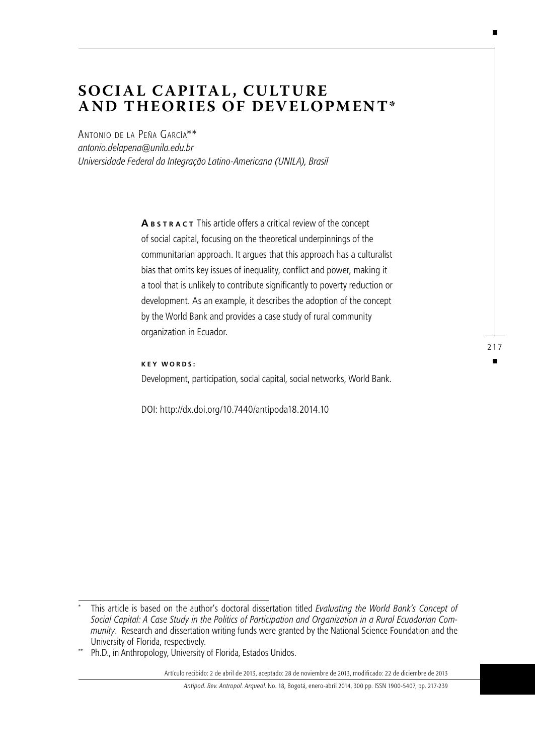# **SOCIAL CAPITAL, CULTURE AND THEORIES OF DEVELOPMENT\***

Antonio de la Peña García\*\* *antonio.delapena@unila.edu.br Universidade Federal da Integração Latino-Americana (UNILA), Brasil*

> **A b s t ra c t** This article offers a critical review of the concept of social capital, focusing on the theoretical underpinnings of the communitarian approach. It argues that this approach has a culturalist bias that omits key issues of inequality, conflict and power, making it a tool that is unlikely to contribute significantly to poverty reduction or development. As an example, it describes the adoption of the concept by the World Bank and provides a case study of rural community organization in Ecuador.

#### **K EY WO RDS :**

Development, participation, social capital, social networks, World Bank.

DOI: http://dx.doi.org/10.7440/antipoda18.2014.10

Artículo recibido: 2 de abril de 2013, aceptado: 28 de noviembre de 2013, modificado: 22 de diciembre de 2013

Antipod. Rev. Antropol. Arqueol. No. 18, Bogotá, enero-abril 2014, 300 pp. ISSN 1900-5407, pp. 217-239

217

<sup>\*</sup> This article is based on the author's doctoral dissertation titled *Evaluating the World Bank's Concept of Social Capital: A Case Study in the Politics of Participation and Organization in a Rural Ecuadorian Community*. Research and dissertation writing funds were granted by the National Science Foundation and the University of Florida, respectively.

Ph.D., in Anthropology, University of Florida, Estados Unidos.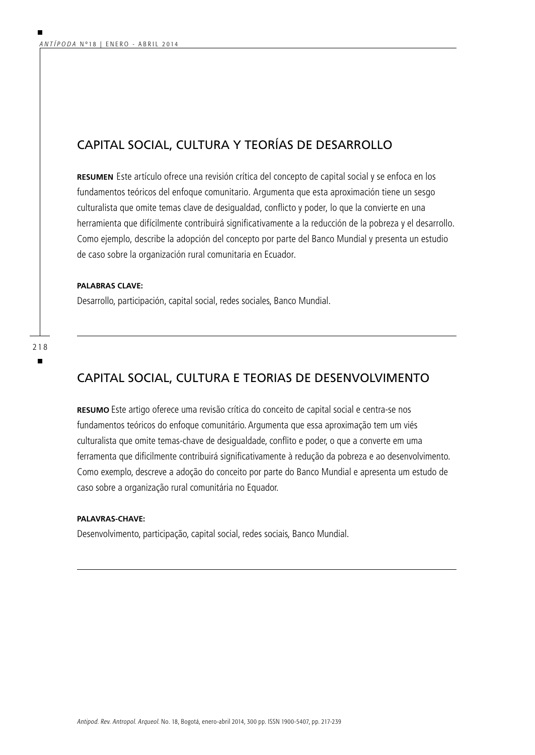## CAPITAL SOCIAL, CULTURA Y TEORÍAS DE DESARROLLO

**RESUMEN** Este artículo ofrece una revisión crítica del concepto de capital social y se enfoca en los fundamentos teóricos del enfoque comunitario. Argumenta que esta aproximación tiene un sesgo culturalista que omite temas clave de desigualdad, conflicto y poder, lo que la convierte en una herramienta que difícilmente contribuirá significativamente a la reducción de la pobreza y el desarrollo. Como ejemplo, describe la adopción del concepto por parte del Banco Mundial y presenta un estudio de caso sobre la organización rural comunitaria en Ecuador.

#### **PALABRAS CLAVE:**

Desarrollo, participación, capital social, redes sociales, Banco Mundial.

### CAPITAL SOCIAL, CULTURA E TEORIAS DE DESENVOLVIMENTO

**Resumo** Este artigo oferece uma revisão crítica do conceito de capital social e centra-se nos fundamentos teóricos do enfoque comunitário. Argumenta que essa aproximação tem um viés culturalista que omite temas-chave de desigualdade, conflito e poder, o que a converte em uma ferramenta que dificilmente contribuirá significativamente à redução da pobreza e ao desenvolvimento. Como exemplo, descreve a adoção do conceito por parte do Banco Mundial e apresenta um estudo de caso sobre a organização rural comunitária no Equador.

#### **Palavras-chave:**

Desenvolvimento, participação, capital social, redes sociais, Banco Mundial.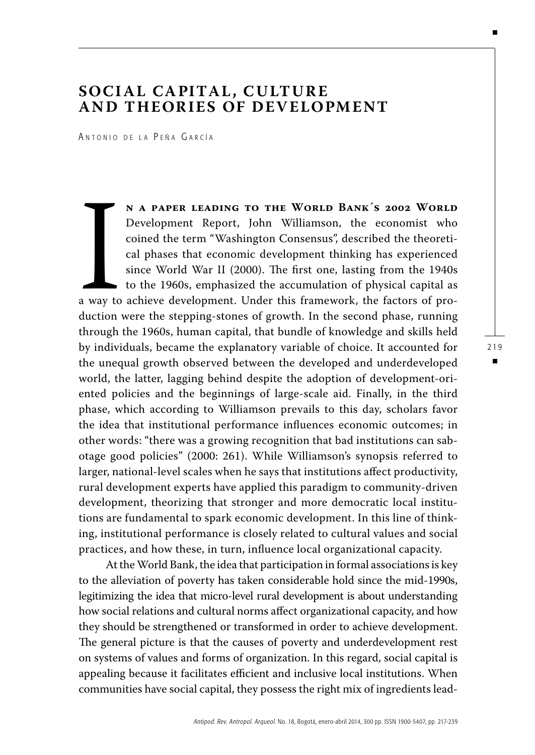# **SOCIAL CAPITAL, CULTURE AND THEORIES OF DEVELOPMENT**

ANTONIO DE LA PEÑA GARCÍA

a way to duction **n a paper leading to the World Bank´s 2002 World**  Development Report, John Williamson, the economist who coined the term "Washington Consensus", described the theoretical phases that economic development thinking has experienced since World War II (2000). The first one, lasting from the 1940s to the 1960s, emphasized the accumulation of physical capital as a way to achieve development. Under this framework, the factors of production were the stepping-stones of growth. In the second phase, running through the 1960s, human capital, that bundle of knowledge and skills held by individuals, became the explanatory variable of choice. It accounted for the unequal growth observed between the developed and underdeveloped world, the latter, lagging behind despite the adoption of development-oriented policies and the beginnings of large-scale aid. Finally, in the third phase, which according to Williamson prevails to this day, scholars favor the idea that institutional performance influences economic outcomes; in other words: "there was a growing recognition that bad institutions can sabotage good policies" (2000: 261). While Williamson's synopsis referred to larger, national-level scales when he says that institutions affect productivity, rural development experts have applied this paradigm to community-driven development, theorizing that stronger and more democratic local institutions are fundamental to spark economic development. In this line of thinking, institutional performance is closely related to cultural values and social practices, and how these, in turn, influence local organizational capacity.

At the World Bank, the idea that participation in formal associations is key to the alleviation of poverty has taken considerable hold since the mid-1990s, legitimizing the idea that micro-level rural development is about understanding how social relations and cultural norms affect organizational capacity, and how they should be strengthened or transformed in order to achieve development. The general picture is that the causes of poverty and underdevelopment rest on systems of values and forms of organization. In this regard, social capital is appealing because it facilitates efficient and inclusive local institutions. When communities have social capital, they possess the right mix of ingredients lead-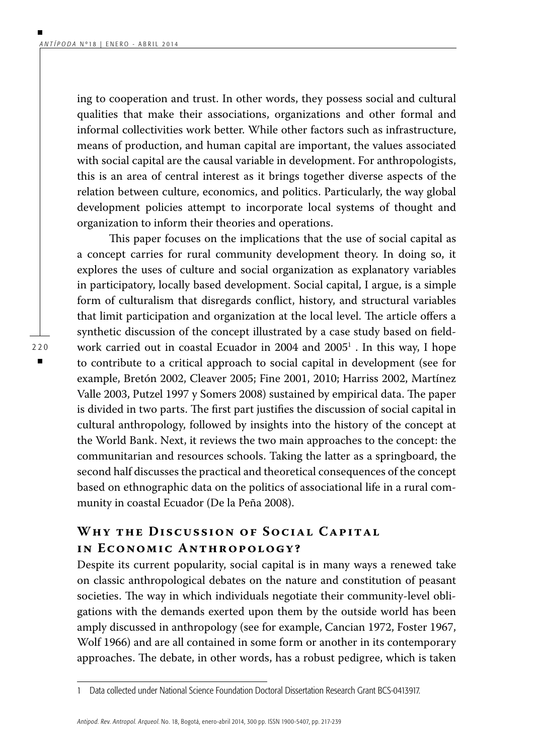ing to cooperation and trust. In other words, they possess social and cultural qualities that make their associations, organizations and other formal and informal collectivities work better. While other factors such as infrastructure, means of production, and human capital are important, the values associated with social capital are the causal variable in development. For anthropologists, this is an area of central interest as it brings together diverse aspects of the relation between culture, economics, and politics. Particularly, the way global development policies attempt to incorporate local systems of thought and organization to inform their theories and operations.

This paper focuses on the implications that the use of social capital as a concept carries for rural community development theory. In doing so, it explores the uses of culture and social organization as explanatory variables in participatory, locally based development. Social capital, I argue, is a simple form of culturalism that disregards conflict, history, and structural variables that limit participation and organization at the local level. The article offers a synthetic discussion of the concept illustrated by a case study based on fieldwork carried out in coastal Ecuador in 2004 and 2005<sup>1</sup> . In this way, I hope to contribute to a critical approach to social capital in development (see for example, Bretón 2002, Cleaver 2005; Fine 2001, 2010; Harriss 2002, Martínez Valle 2003, Putzel 1997 y Somers 2008) sustained by empirical data. The paper is divided in two parts. The first part justifies the discussion of social capital in cultural anthropology, followed by insights into the history of the concept at the World Bank. Next, it reviews the two main approaches to the concept: the communitarian and resources schools. Taking the latter as a springboard, the second half discusses the practical and theoretical consequences of the concept based on ethnographic data on the politics of associational life in a rural community in coastal Ecuador (De la Peña 2008).

## **Why the Discussion of Social Capital in Economic Anthropology?**

Despite its current popularity, social capital is in many ways a renewed take on classic anthropological debates on the nature and constitution of peasant societies. The way in which individuals negotiate their community-level obligations with the demands exerted upon them by the outside world has been amply discussed in anthropology (see for example, Cancian 1972, Foster 1967, Wolf 1966) and are all contained in some form or another in its contemporary approaches. The debate, in other words, has a robust pedigree, which is taken

<sup>1</sup> Data collected under National Science Foundation Doctoral Dissertation Research Grant BCS-0413917.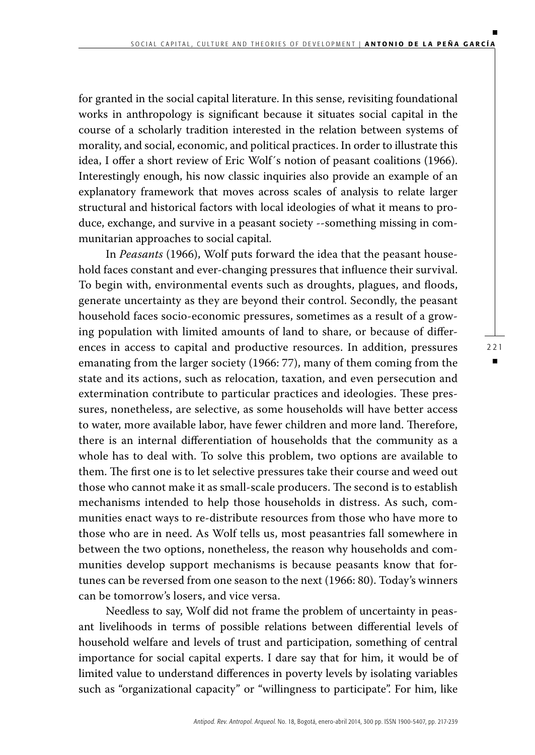for granted in the social capital literature. In this sense, revisiting foundational works in anthropology is significant because it situates social capital in the course of a scholarly tradition interested in the relation between systems of morality, and social, economic, and political practices. In order to illustrate this idea, I offer a short review of Eric Wolf´s notion of peasant coalitions (1966). Interestingly enough, his now classic inquiries also provide an example of an explanatory framework that moves across scales of analysis to relate larger structural and historical factors with local ideologies of what it means to produce, exchange, and survive in a peasant society --something missing in communitarian approaches to social capital.

In *Peasants* (1966), Wolf puts forward the idea that the peasant household faces constant and ever-changing pressures that influence their survival. To begin with, environmental events such as droughts, plagues, and floods, generate uncertainty as they are beyond their control. Secondly, the peasant household faces socio-economic pressures, sometimes as a result of a growing population with limited amounts of land to share, or because of differences in access to capital and productive resources. In addition, pressures emanating from the larger society (1966: 77), many of them coming from the state and its actions, such as relocation, taxation, and even persecution and extermination contribute to particular practices and ideologies. These pressures, nonetheless, are selective, as some households will have better access to water, more available labor, have fewer children and more land. Therefore, there is an internal differentiation of households that the community as a whole has to deal with. To solve this problem, two options are available to them. The first one is to let selective pressures take their course and weed out those who cannot make it as small-scale producers. The second is to establish mechanisms intended to help those households in distress. As such, communities enact ways to re-distribute resources from those who have more to those who are in need. As Wolf tells us, most peasantries fall somewhere in between the two options, nonetheless, the reason why households and communities develop support mechanisms is because peasants know that fortunes can be reversed from one season to the next (1966: 80). Today's winners can be tomorrow's losers, and vice versa.

Needless to say, Wolf did not frame the problem of uncertainty in peasant livelihoods in terms of possible relations between differential levels of household welfare and levels of trust and participation, something of central importance for social capital experts. I dare say that for him, it would be of limited value to understand differences in poverty levels by isolating variables such as "organizational capacity" or "willingness to participate". For him, like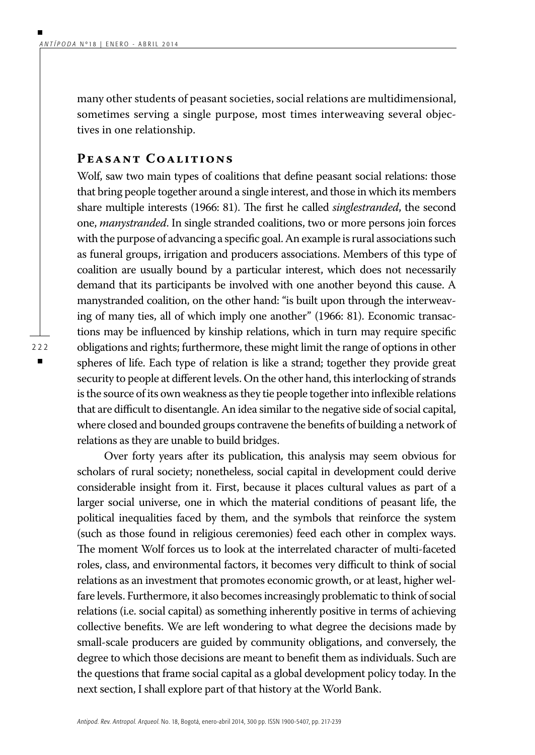many other students of peasant societies, social relations are multidimensional, sometimes serving a single purpose, most times interweaving several objectives in one relationship.

### **Peasant Coalitions**

Wolf, saw two main types of coalitions that define peasant social relations: those that bring people together around a single interest, and those in which its members share multiple interests (1966: 81). The first he called *singlestranded*, the second one, *manystranded*. In single stranded coalitions, two or more persons join forces with the purpose of advancing a specific goal. An example is rural associations such as funeral groups, irrigation and producers associations. Members of this type of coalition are usually bound by a particular interest, which does not necessarily demand that its participants be involved with one another beyond this cause. A manystranded coalition, on the other hand: "is built upon through the interweaving of many ties, all of which imply one another" (1966: 81). Economic transactions may be influenced by kinship relations, which in turn may require specific obligations and rights; furthermore, these might limit the range of options in other spheres of life. Each type of relation is like a strand; together they provide great security to people at different levels. On the other hand, this interlocking of strands is the source of its own weakness as they tie people together into inflexible relations that are difficult to disentangle. An idea similar to the negative side of social capital, where closed and bounded groups contravene the benefits of building a network of relations as they are unable to build bridges.

Over forty years after its publication, this analysis may seem obvious for scholars of rural society; nonetheless, social capital in development could derive considerable insight from it. First, because it places cultural values as part of a larger social universe, one in which the material conditions of peasant life, the political inequalities faced by them, and the symbols that reinforce the system (such as those found in religious ceremonies) feed each other in complex ways. The moment Wolf forces us to look at the interrelated character of multi-faceted roles, class, and environmental factors, it becomes very difficult to think of social relations as an investment that promotes economic growth, or at least, higher welfare levels. Furthermore, it also becomes increasingly problematic to think of social relations (i.e. social capital) as something inherently positive in terms of achieving collective benefits. We are left wondering to what degree the decisions made by small-scale producers are guided by community obligations, and conversely, the degree to which those decisions are meant to benefit them as individuals. Such are the questions that frame social capital as a global development policy today. In the next section, I shall explore part of that history at the World Bank.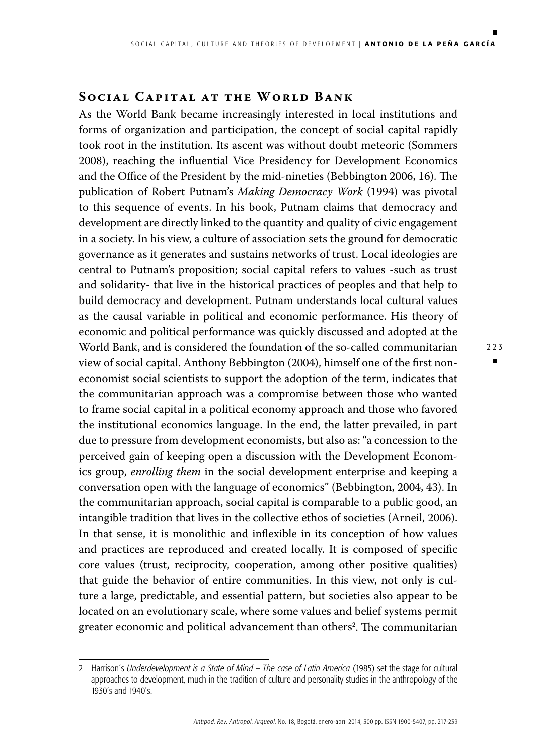## **SOCIAL CAPITAL AT THE WORLD BANK**

As the World Bank became increasingly interested in local institutions and forms of organization and participation, the concept of social capital rapidly took root in the institution. Its ascent was without doubt meteoric (Sommers 2008), reaching the influential Vice Presidency for Development Economics and the Office of the President by the mid-nineties (Bebbington 2006, 16). The publication of Robert Putnam's *Making Democracy Work* (1994) was pivotal to this sequence of events. In his book, Putnam claims that democracy and development are directly linked to the quantity and quality of civic engagement in a society. In his view, a culture of association sets the ground for democratic governance as it generates and sustains networks of trust. Local ideologies are central to Putnam's proposition; social capital refers to values -such as trust and solidarity- that live in the historical practices of peoples and that help to build democracy and development. Putnam understands local cultural values as the causal variable in political and economic performance. His theory of economic and political performance was quickly discussed and adopted at the World Bank, and is considered the foundation of the so-called communitarian view of social capital. Anthony Bebbington (2004), himself one of the first noneconomist social scientists to support the adoption of the term, indicates that the communitarian approach was a compromise between those who wanted to frame social capital in a political economy approach and those who favored the institutional economics language. In the end, the latter prevailed, in part due to pressure from development economists, but also as: "a concession to the perceived gain of keeping open a discussion with the Development Economics group, *enrolling them* in the social development enterprise and keeping a conversation open with the language of economics" (Bebbington, 2004, 43). In the communitarian approach, social capital is comparable to a public good, an intangible tradition that lives in the collective ethos of societies (Arneil, 2006). In that sense, it is monolithic and inflexible in its conception of how values and practices are reproduced and created locally. It is composed of specific core values (trust, reciprocity, cooperation, among other positive qualities) that guide the behavior of entire communities. In this view, not only is culture a large, predictable, and essential pattern, but societies also appear to be located on an evolutionary scale, where some values and belief systems permit greater economic and political advancement than others<sup>2</sup>. The communitarian

<sup>2</sup> Harrison´s *Underdevelopment is a State of Mind* – *The case of Latin America* (1985) set the stage for cultural approaches to development, much in the tradition of culture and personality studies in the anthropology of the 1930´s and 1940´s.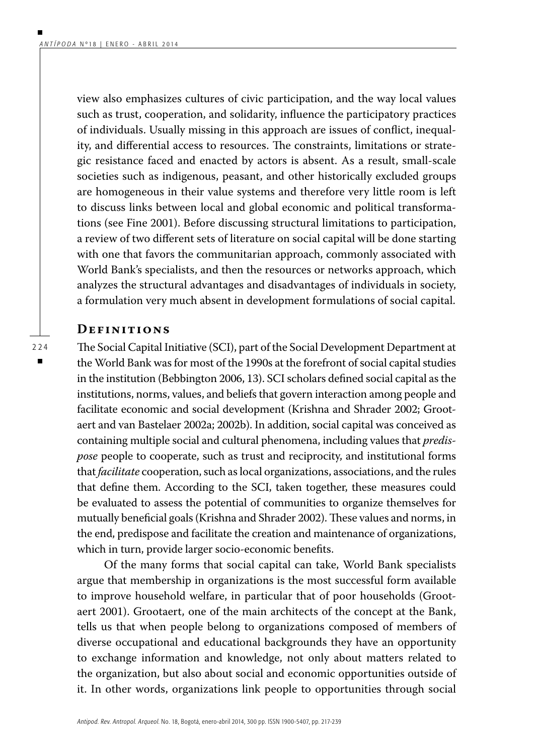view also emphasizes cultures of civic participation, and the way local values such as trust, cooperation, and solidarity, influence the participatory practices of individuals. Usually missing in this approach are issues of conflict, inequality, and differential access to resources. The constraints, limitations or strategic resistance faced and enacted by actors is absent. As a result, small-scale societies such as indigenous, peasant, and other historically excluded groups are homogeneous in their value systems and therefore very little room is left to discuss links between local and global economic and political transformations (see Fine 2001). Before discussing structural limitations to participation, a review of two different sets of literature on social capital will be done starting with one that favors the communitarian approach, commonly associated with World Bank's specialists, and then the resources or networks approach, which analyzes the structural advantages and disadvantages of individuals in society, a formulation very much absent in development formulations of social capital.

### **Definitions**

The Social Capital Initiative (SCI), part of the Social Development Department at the World Bank was for most of the 1990s at the forefront of social capital studies in the institution (Bebbington 2006, 13). SCI scholars defined social capital as the institutions, norms, values, and beliefs that govern interaction among people and facilitate economic and social development (Krishna and Shrader 2002; Grootaert and van Bastelaer 2002a; 2002b). In addition, social capital was conceived as containing multiple social and cultural phenomena, including values that *predispose* people to cooperate, such as trust and reciprocity, and institutional forms that *facilitate* cooperation, such as local organizations, associations, and the rules that define them. According to the SCI, taken together, these measures could be evaluated to assess the potential of communities to organize themselves for mutually beneficial goals (Krishna and Shrader 2002). These values and norms, in the end, predispose and facilitate the creation and maintenance of organizations, which in turn, provide larger socio-economic benefits.

Of the many forms that social capital can take, World Bank specialists argue that membership in organizations is the most successful form available to improve household welfare, in particular that of poor households (Grootaert 2001). Grootaert, one of the main architects of the concept at the Bank, tells us that when people belong to organizations composed of members of diverse occupational and educational backgrounds they have an opportunity to exchange information and knowledge, not only about matters related to the organization, but also about social and economic opportunities outside of it. In other words, organizations link people to opportunities through social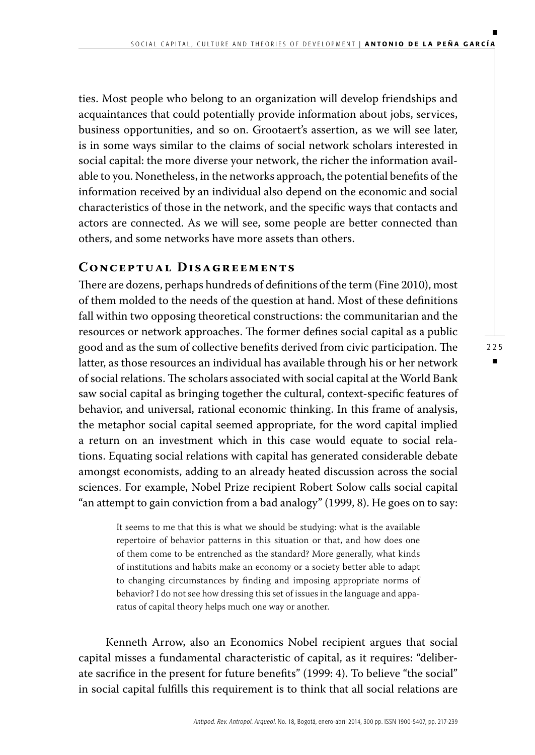ties. Most people who belong to an organization will develop friendships and acquaintances that could potentially provide information about jobs, services, business opportunities, and so on. Grootaert's assertion, as we will see later, is in some ways similar to the claims of social network scholars interested in social capital: the more diverse your network, the richer the information available to you. Nonetheless, in the networks approach, the potential benefits of the information received by an individual also depend on the economic and social characteristics of those in the network, and the specific ways that contacts and actors are connected. As we will see, some people are better connected than others, and some networks have more assets than others.

## **Conceptual Disagreements**

There are dozens, perhaps hundreds of definitions of the term (Fine 2010), most of them molded to the needs of the question at hand. Most of these definitions fall within two opposing theoretical constructions: the communitarian and the resources or network approaches. The former defines social capital as a public good and as the sum of collective benefits derived from civic participation. The latter, as those resources an individual has available through his or her network of social relations. The scholars associated with social capital at the World Bank saw social capital as bringing together the cultural, context-specific features of behavior, and universal, rational economic thinking. In this frame of analysis, the metaphor social capital seemed appropriate, for the word capital implied a return on an investment which in this case would equate to social relations. Equating social relations with capital has generated considerable debate amongst economists, adding to an already heated discussion across the social sciences. For example, Nobel Prize recipient Robert Solow calls social capital "an attempt to gain conviction from a bad analogy" (1999, 8). He goes on to say:

It seems to me that this is what we should be studying: what is the available repertoire of behavior patterns in this situation or that, and how does one of them come to be entrenched as the standard? More generally, what kinds of institutions and habits make an economy or a society better able to adapt to changing circumstances by finding and imposing appropriate norms of behavior? I do not see how dressing this set of issues in the language and apparatus of capital theory helps much one way or another.

Kenneth Arrow, also an Economics Nobel recipient argues that social capital misses a fundamental characteristic of capital, as it requires: "deliberate sacrifice in the present for future benefits" (1999: 4). To believe "the social" in social capital fulfills this requirement is to think that all social relations are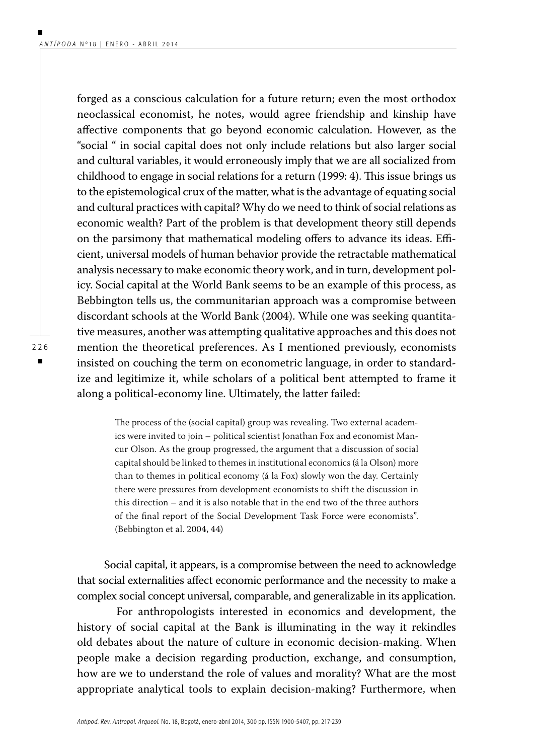forged as a conscious calculation for a future return; even the most orthodox neoclassical economist, he notes, would agree friendship and kinship have affective components that go beyond economic calculation. However, as the "social " in social capital does not only include relations but also larger social and cultural variables, it would erroneously imply that we are all socialized from childhood to engage in social relations for a return (1999: 4). This issue brings us to the epistemological crux of the matter, what is the advantage of equating social and cultural practices with capital? Why do we need to think of social relations as economic wealth? Part of the problem is that development theory still depends on the parsimony that mathematical modeling offers to advance its ideas. Efficient, universal models of human behavior provide the retractable mathematical analysis necessary to make economic theory work, and in turn, development policy. Social capital at the World Bank seems to be an example of this process, as Bebbington tells us, the communitarian approach was a compromise between discordant schools at the World Bank (2004). While one was seeking quantitative measures, another was attempting qualitative approaches and this does not mention the theoretical preferences. As I mentioned previously, economists insisted on couching the term on econometric language, in order to standardize and legitimize it, while scholars of a political bent attempted to frame it along a political-economy line. Ultimately, the latter failed:

The process of the (social capital) group was revealing. Two external academics were invited to join – political scientist Jonathan Fox and economist Mancur Olson. As the group progressed, the argument that a discussion of social capital should be linked to themes in institutional economics (á la Olson) more than to themes in political economy (á la Fox) slowly won the day. Certainly there were pressures from development economists to shift the discussion in this direction – and it is also notable that in the end two of the three authors of the final report of the Social Development Task Force were economists". (Bebbington et al. 2004, 44)

Social capital, it appears, is a compromise between the need to acknowledge that social externalities affect economic performance and the necessity to make a complex social concept universal, comparable, and generalizable in its application.

For anthropologists interested in economics and development, the history of social capital at the Bank is illuminating in the way it rekindles old debates about the nature of culture in economic decision-making. When people make a decision regarding production, exchange, and consumption, how are we to understand the role of values and morality? What are the most appropriate analytical tools to explain decision-making? Furthermore, when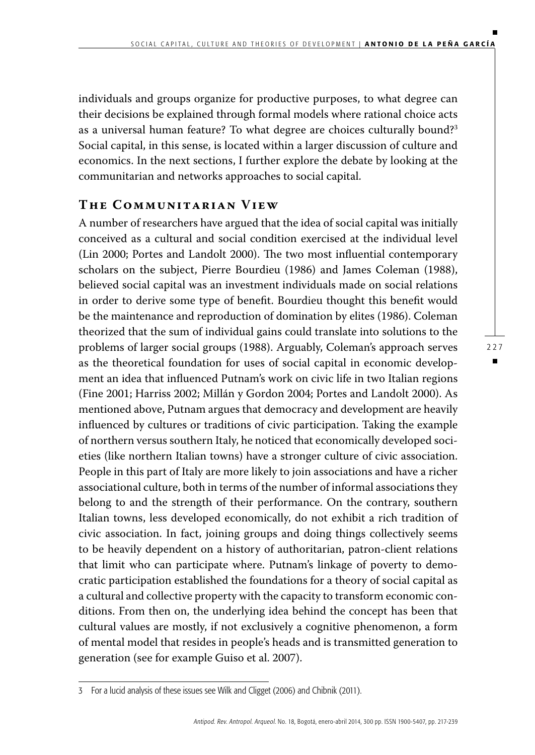individuals and groups organize for productive purposes, to what degree can their decisions be explained through formal models where rational choice acts as a universal human feature? To what degree are choices culturally bound?<sup>3</sup> Social capital, in this sense, is located within a larger discussion of culture and economics. In the next sections, I further explore the debate by looking at the communitarian and networks approaches to social capital.

### **The Communitarian View**

A number of researchers have argued that the idea of social capital was initially conceived as a cultural and social condition exercised at the individual level (Lin 2000; Portes and Landolt 2000). The two most influential contemporary scholars on the subject, Pierre Bourdieu (1986) and James Coleman (1988), believed social capital was an investment individuals made on social relations in order to derive some type of benefit. Bourdieu thought this benefit would be the maintenance and reproduction of domination by elites (1986). Coleman theorized that the sum of individual gains could translate into solutions to the problems of larger social groups (1988). Arguably, Coleman's approach serves as the theoretical foundation for uses of social capital in economic development an idea that influenced Putnam's work on civic life in two Italian regions (Fine 2001; Harriss 2002; Millán y Gordon 2004; Portes and Landolt 2000). As mentioned above, Putnam argues that democracy and development are heavily influenced by cultures or traditions of civic participation. Taking the example of northern versus southern Italy, he noticed that economically developed societies (like northern Italian towns) have a stronger culture of civic association. People in this part of Italy are more likely to join associations and have a richer associational culture, both in terms of the number of informal associations they belong to and the strength of their performance. On the contrary, southern Italian towns, less developed economically, do not exhibit a rich tradition of civic association. In fact, joining groups and doing things collectively seems to be heavily dependent on a history of authoritarian, patron-client relations that limit who can participate where. Putnam's linkage of poverty to democratic participation established the foundations for a theory of social capital as a cultural and collective property with the capacity to transform economic conditions. From then on, the underlying idea behind the concept has been that cultural values are mostly, if not exclusively a cognitive phenomenon, a form of mental model that resides in people's heads and is transmitted generation to generation (see for example Guiso et al. 2007).

<sup>3</sup> For a lucid analysis of these issues see Wilk and Cligget (2006) and Chibnik (2011).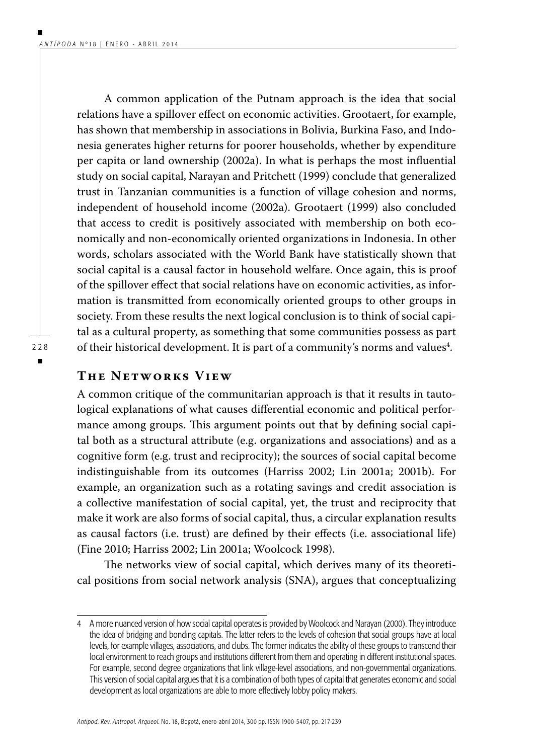A common application of the Putnam approach is the idea that social relations have a spillover effect on economic activities. Grootaert, for example, has shown that membership in associations in Bolivia, Burkina Faso, and Indonesia generates higher returns for poorer households, whether by expenditure per capita or land ownership (2002a). In what is perhaps the most influential study on social capital, Narayan and Pritchett (1999) conclude that generalized trust in Tanzanian communities is a function of village cohesion and norms, independent of household income (2002a). Grootaert (1999) also concluded that access to credit is positively associated with membership on both economically and non-economically oriented organizations in Indonesia. In other words, scholars associated with the World Bank have statistically shown that social capital is a causal factor in household welfare. Once again, this is proof of the spillover effect that social relations have on economic activities, as information is transmitted from economically oriented groups to other groups in society. From these results the next logical conclusion is to think of social capital as a cultural property, as something that some communities possess as part of their historical development. It is part of a community's norms and values $^{\rm 4}$ .

## **The Networks View**

A common critique of the communitarian approach is that it results in tautological explanations of what causes differential economic and political performance among groups. This argument points out that by defining social capital both as a structural attribute (e.g. organizations and associations) and as a cognitive form (e.g. trust and reciprocity); the sources of social capital become indistinguishable from its outcomes (Harriss 2002; Lin 2001a; 2001b). For example, an organization such as a rotating savings and credit association is a collective manifestation of social capital, yet, the trust and reciprocity that make it work are also forms of social capital, thus, a circular explanation results as causal factors (i.e. trust) are defined by their effects (i.e. associational life) (Fine 2010; Harriss 2002; Lin 2001a; Woolcock 1998).

The networks view of social capital, which derives many of its theoretical positions from social network analysis (SNA), argues that conceptualizing

228

<sup>4</sup> A more nuanced version of how social capital operates is provided by Woolcock and Narayan (2000). They introduce the idea of bridging and bonding capitals. The latter refers to the levels of cohesion that social groups have at local levels, for example villages, associations, and clubs. The former indicates the ability of these groups to transcend their local environment to reach groups and institutions different from them and operating in different institutional spaces. For example, second degree organizations that link village-level associations, and non-governmental organizations. This version of social capital argues that it is a combination of both types of capital that generates economic and social development as local organizations are able to more effectively lobby policy makers.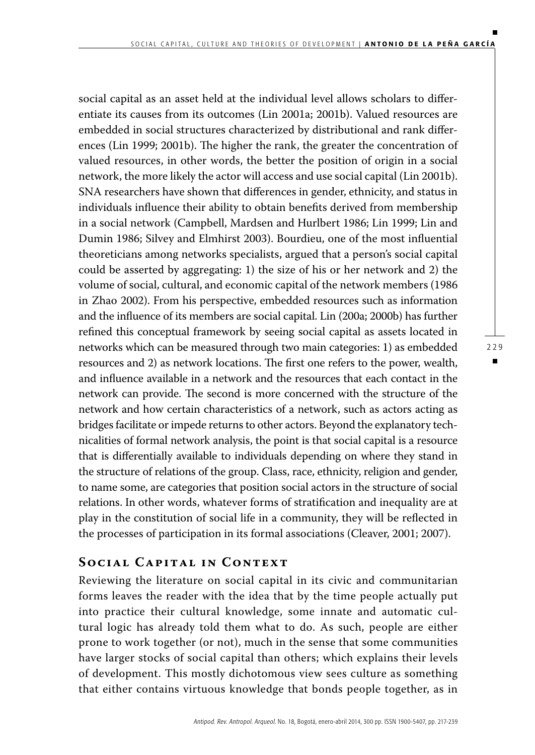social capital as an asset held at the individual level allows scholars to differentiate its causes from its outcomes (Lin 2001a; 2001b). Valued resources are embedded in social structures characterized by distributional and rank differences (Lin 1999; 2001b). The higher the rank, the greater the concentration of valued resources, in other words, the better the position of origin in a social network, the more likely the actor will access and use social capital (Lin 2001b). SNA researchers have shown that differences in gender, ethnicity, and status in individuals influence their ability to obtain benefits derived from membership in a social network (Campbell, Mardsen and Hurlbert 1986; Lin 1999; Lin and Dumin 1986; Silvey and Elmhirst 2003). Bourdieu, one of the most influential theoreticians among networks specialists, argued that a person's social capital could be asserted by aggregating: 1) the size of his or her network and 2) the volume of social, cultural, and economic capital of the network members (1986 in Zhao 2002). From his perspective, embedded resources such as information and the influence of its members are social capital. Lin (200a; 2000b) has further refined this conceptual framework by seeing social capital as assets located in networks which can be measured through two main categories: 1) as embedded resources and 2) as network locations. The first one refers to the power, wealth, and influence available in a network and the resources that each contact in the network can provide. The second is more concerned with the structure of the network and how certain characteristics of a network, such as actors acting as bridges facilitate or impede returns to other actors. Beyond the explanatory technicalities of formal network analysis, the point is that social capital is a resource that is differentially available to individuals depending on where they stand in the structure of relations of the group. Class, race, ethnicity, religion and gender, to name some, are categories that position social actors in the structure of social relations. In other words, whatever forms of stratification and inequality are at play in the constitution of social life in a community, they will be reflected in the processes of participation in its formal associations (Cleaver, 2001; 2007).

### **Social Capital in Context**

Reviewing the literature on social capital in its civic and communitarian forms leaves the reader with the idea that by the time people actually put into practice their cultural knowledge, some innate and automatic cultural logic has already told them what to do. As such, people are either prone to work together (or not), much in the sense that some communities have larger stocks of social capital than others; which explains their levels of development. This mostly dichotomous view sees culture as something that either contains virtuous knowledge that bonds people together, as in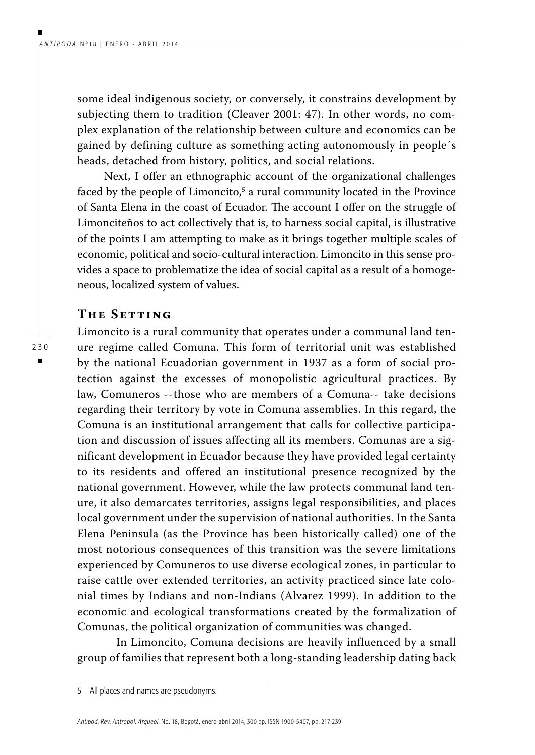some ideal indigenous society, or conversely, it constrains development by subjecting them to tradition (Cleaver 2001: 47). In other words, no complex explanation of the relationship between culture and economics can be gained by defining culture as something acting autonomously in people´s heads, detached from history, politics, and social relations.

Next, I offer an ethnographic account of the organizational challenges faced by the people of Limoncito,<sup>5</sup> a rural community located in the Province of Santa Elena in the coast of Ecuador. The account I offer on the struggle of Limonciteños to act collectively that is, to harness social capital, is illustrative of the points I am attempting to make as it brings together multiple scales of economic, political and socio-cultural interaction. Limoncito in this sense provides a space to problematize the idea of social capital as a result of a homogeneous, localized system of values.

### **The Setting**

Limoncito is a rural community that operates under a communal land tenure regime called Comuna. This form of territorial unit was established by the national Ecuadorian government in 1937 as a form of social protection against the excesses of monopolistic agricultural practices. By law, Comuneros --those who are members of a Comuna-- take decisions regarding their territory by vote in Comuna assemblies. In this regard, the Comuna is an institutional arrangement that calls for collective participation and discussion of issues affecting all its members. Comunas are a significant development in Ecuador because they have provided legal certainty to its residents and offered an institutional presence recognized by the national government. However, while the law protects communal land tenure, it also demarcates territories, assigns legal responsibilities, and places local government under the supervision of national authorities. In the Santa Elena Peninsula (as the Province has been historically called) one of the most notorious consequences of this transition was the severe limitations experienced by Comuneros to use diverse ecological zones, in particular to raise cattle over extended territories, an activity practiced since late colonial times by Indians and non-Indians (Alvarez 1999). In addition to the economic and ecological transformations created by the formalization of Comunas, the political organization of communities was changed.

In Limoncito, Comuna decisions are heavily influenced by a small group of families that represent both a long-standing leadership dating back

Antipod. Rev. Antropol. Arqueol. No. 18, Bogotá, enero-abril 2014, 300 pp. ISSN 1900-5407, pp. 217-239

<sup>5</sup> All places and names are pseudonyms.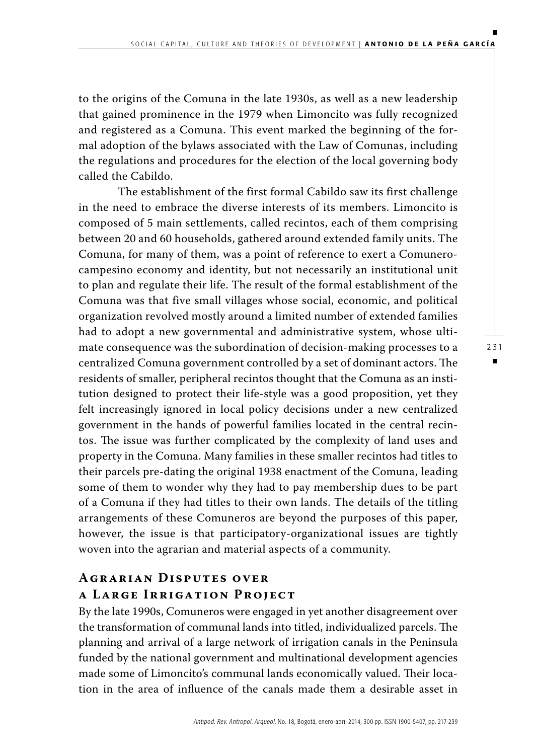to the origins of the Comuna in the late 1930s, as well as a new leadership that gained prominence in the 1979 when Limoncito was fully recognized and registered as a Comuna. This event marked the beginning of the formal adoption of the bylaws associated with the Law of Comunas, including the regulations and procedures for the election of the local governing body called the Cabildo.

The establishment of the first formal Cabildo saw its first challenge in the need to embrace the diverse interests of its members. Limoncito is composed of 5 main settlements, called recintos, each of them comprising between 20 and 60 households, gathered around extended family units. The Comuna, for many of them, was a point of reference to exert a Comunerocampesino economy and identity, but not necessarily an institutional unit to plan and regulate their life. The result of the formal establishment of the Comuna was that five small villages whose social, economic, and political organization revolved mostly around a limited number of extended families had to adopt a new governmental and administrative system, whose ultimate consequence was the subordination of decision-making processes to a centralized Comuna government controlled by a set of dominant actors. The residents of smaller, peripheral recintos thought that the Comuna as an institution designed to protect their life-style was a good proposition, yet they felt increasingly ignored in local policy decisions under a new centralized government in the hands of powerful families located in the central recintos. The issue was further complicated by the complexity of land uses and property in the Comuna. Many families in these smaller recintos had titles to their parcels pre-dating the original 1938 enactment of the Comuna, leading some of them to wonder why they had to pay membership dues to be part of a Comuna if they had titles to their own lands. The details of the titling arrangements of these Comuneros are beyond the purposes of this paper, however, the issue is that participatory-organizational issues are tightly woven into the agrarian and material aspects of a community.

# **Agrarian Disputes over a Large Irrigation Project**

By the late 1990s, Comuneros were engaged in yet another disagreement over the transformation of communal lands into titled, individualized parcels. The planning and arrival of a large network of irrigation canals in the Peninsula funded by the national government and multinational development agencies made some of Limoncito's communal lands economically valued. Their location in the area of influence of the canals made them a desirable asset in 231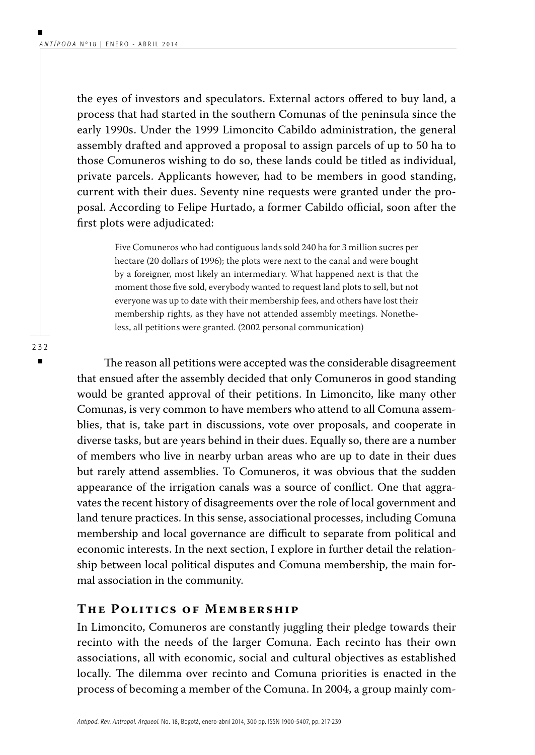the eyes of investors and speculators. External actors offered to buy land, a process that had started in the southern Comunas of the peninsula since the early 1990s. Under the 1999 Limoncito Cabildo administration, the general assembly drafted and approved a proposal to assign parcels of up to 50 ha to those Comuneros wishing to do so, these lands could be titled as individual, private parcels. Applicants however, had to be members in good standing, current with their dues. Seventy nine requests were granted under the proposal. According to Felipe Hurtado, a former Cabildo official, soon after the first plots were adjudicated:

Five Comuneros who had contiguous lands sold 240 ha for 3 million sucres per hectare (20 dollars of 1996); the plots were next to the canal and were bought by a foreigner, most likely an intermediary. What happened next is that the moment those five sold, everybody wanted to request land plots to sell, but not everyone was up to date with their membership fees, and others have lost their membership rights, as they have not attended assembly meetings. Nonetheless, all petitions were granted. (2002 personal communication)

232  $\blacksquare$ 

The reason all petitions were accepted was the considerable disagreement that ensued after the assembly decided that only Comuneros in good standing would be granted approval of their petitions. In Limoncito, like many other Comunas, is very common to have members who attend to all Comuna assemblies, that is, take part in discussions, vote over proposals, and cooperate in diverse tasks, but are years behind in their dues. Equally so, there are a number of members who live in nearby urban areas who are up to date in their dues but rarely attend assemblies. To Comuneros, it was obvious that the sudden appearance of the irrigation canals was a source of conflict. One that aggravates the recent history of disagreements over the role of local government and land tenure practices. In this sense, associational processes, including Comuna membership and local governance are difficult to separate from political and economic interests. In the next section, I explore in further detail the relationship between local political disputes and Comuna membership, the main formal association in the community.

## **The Politics of Membership**

In Limoncito, Comuneros are constantly juggling their pledge towards their recinto with the needs of the larger Comuna. Each recinto has their own associations, all with economic, social and cultural objectives as established locally. The dilemma over recinto and Comuna priorities is enacted in the process of becoming a member of the Comuna. In 2004, a group mainly com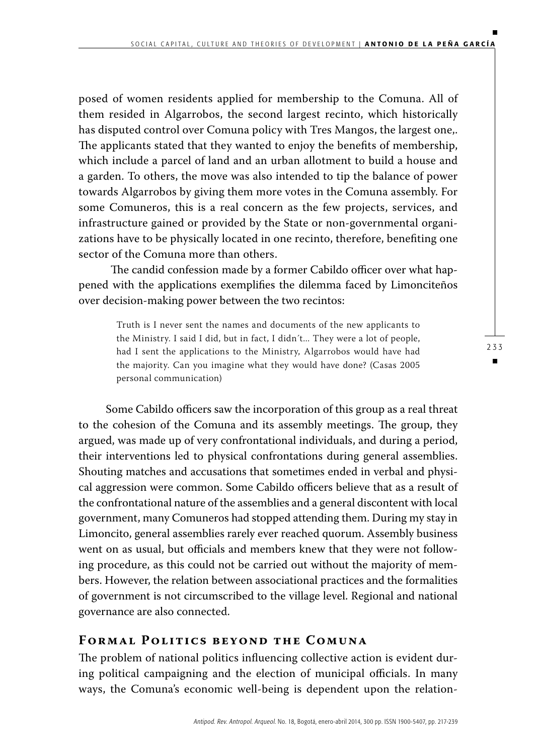posed of women residents applied for membership to the Comuna. All of them resided in Algarrobos, the second largest recinto, which historically has disputed control over Comuna policy with Tres Mangos, the largest one,. The applicants stated that they wanted to enjoy the benefits of membership, which include a parcel of land and an urban allotment to build a house and a garden. To others, the move was also intended to tip the balance of power towards Algarrobos by giving them more votes in the Comuna assembly. For some Comuneros, this is a real concern as the few projects, services, and infrastructure gained or provided by the State or non-governmental organizations have to be physically located in one recinto, therefore, benefiting one sector of the Comuna more than others.

The candid confession made by a former Cabildo officer over what happened with the applications exemplifies the dilemma faced by Limonciteños over decision-making power between the two recintos:

Truth is I never sent the names and documents of the new applicants to the Ministry. I said I did, but in fact, I didn´t... They were a lot of people, had I sent the applications to the Ministry, Algarrobos would have had the majority. Can you imagine what they would have done? (Casas 2005 personal communication)

Some Cabildo officers saw the incorporation of this group as a real threat to the cohesion of the Comuna and its assembly meetings. The group, they argued, was made up of very confrontational individuals, and during a period, their interventions led to physical confrontations during general assemblies. Shouting matches and accusations that sometimes ended in verbal and physical aggression were common. Some Cabildo officers believe that as a result of the confrontational nature of the assemblies and a general discontent with local government, many Comuneros had stopped attending them. During my stay in Limoncito, general assemblies rarely ever reached quorum. Assembly business went on as usual, but officials and members knew that they were not following procedure, as this could not be carried out without the majority of members. However, the relation between associational practices and the formalities of government is not circumscribed to the village level. Regional and national governance are also connected.

### **Formal Politics beyond the Comuna**

The problem of national politics influencing collective action is evident during political campaigning and the election of municipal officials. In many ways, the Comuna's economic well-being is dependent upon the relation-

Antipod. Rev. Antropol. Arqueol. No. 18, Bogotá, enero-abril 2014, 300 pp. ISSN 1900-5407, pp. 217-239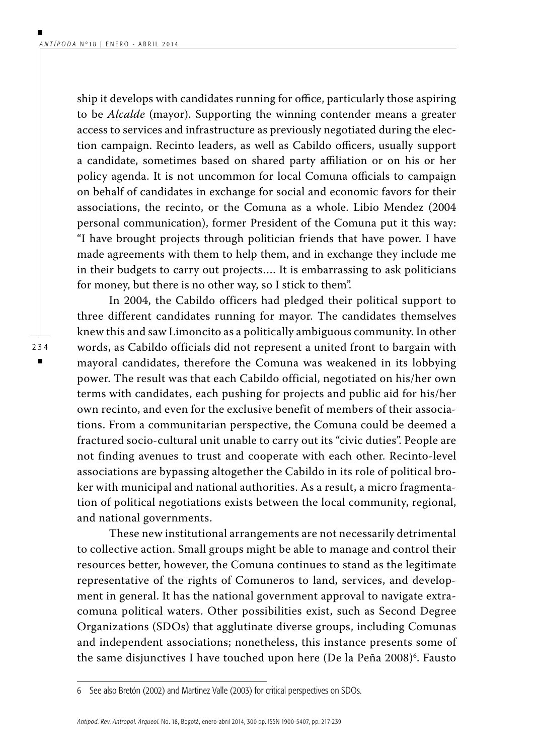ship it develops with candidates running for office, particularly those aspiring to be *Alcalde* (mayor). Supporting the winning contender means a greater access to services and infrastructure as previously negotiated during the election campaign. Recinto leaders, as well as Cabildo officers, usually support a candidate, sometimes based on shared party affiliation or on his or her policy agenda. It is not uncommon for local Comuna officials to campaign on behalf of candidates in exchange for social and economic favors for their associations, the recinto, or the Comuna as a whole. Libio Mendez (2004 personal communication), former President of the Comuna put it this way: "I have brought projects through politician friends that have power. I have made agreements with them to help them, and in exchange they include me in their budgets to carry out projects…. It is embarrassing to ask politicians for money, but there is no other way, so I stick to them".

In 2004, the Cabildo officers had pledged their political support to three different candidates running for mayor. The candidates themselves knew this and saw Limoncito as a politically ambiguous community. In other words, as Cabildo officials did not represent a united front to bargain with mayoral candidates, therefore the Comuna was weakened in its lobbying power. The result was that each Cabildo official, negotiated on his/her own terms with candidates, each pushing for projects and public aid for his/her own recinto, and even for the exclusive benefit of members of their associations. From a communitarian perspective, the Comuna could be deemed a fractured socio-cultural unit unable to carry out its "civic duties". People are not finding avenues to trust and cooperate with each other. Recinto-level associations are bypassing altogether the Cabildo in its role of political broker with municipal and national authorities. As a result, a micro fragmentation of political negotiations exists between the local community, regional, and national governments.

These new institutional arrangements are not necessarily detrimental to collective action. Small groups might be able to manage and control their resources better, however, the Comuna continues to stand as the legitimate representative of the rights of Comuneros to land, services, and development in general. It has the national government approval to navigate extracomuna political waters. Other possibilities exist, such as Second Degree Organizations (SDOs) that agglutinate diverse groups, including Comunas and independent associations; nonetheless, this instance presents some of the same disjunctives I have touched upon here (De la Peña 2008)<sup>6</sup>. Fausto

<sup>6</sup> See also Bretón (2002) and Martinez Valle (2003) for critical perspectives on SDOs.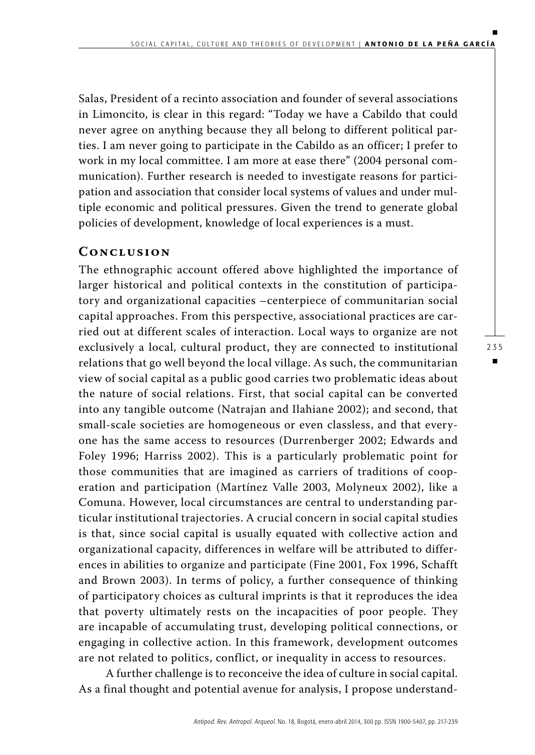Salas, President of a recinto association and founder of several associations in Limoncito, is clear in this regard: "Today we have a Cabildo that could never agree on anything because they all belong to different political parties. I am never going to participate in the Cabildo as an officer; I prefer to work in my local committee. I am more at ease there" (2004 personal communication). Further research is needed to investigate reasons for participation and association that consider local systems of values and under multiple economic and political pressures. Given the trend to generate global policies of development, knowledge of local experiences is a must.

### **Conclusion**

The ethnographic account offered above highlighted the importance of larger historical and political contexts in the constitution of participatory and organizational capacities –centerpiece of communitarian social capital approaches. From this perspective, associational practices are carried out at different scales of interaction. Local ways to organize are not exclusively a local, cultural product, they are connected to institutional relations that go well beyond the local village. As such, the communitarian view of social capital as a public good carries two problematic ideas about the nature of social relations. First, that social capital can be converted into any tangible outcome (Natrajan and Ilahiane 2002); and second, that small-scale societies are homogeneous or even classless, and that everyone has the same access to resources (Durrenberger 2002; Edwards and Foley 1996; Harriss 2002). This is a particularly problematic point for those communities that are imagined as carriers of traditions of cooperation and participation (Martínez Valle 2003, Molyneux 2002), like a Comuna. However, local circumstances are central to understanding particular institutional trajectories. A crucial concern in social capital studies is that, since social capital is usually equated with collective action and organizational capacity, differences in welfare will be attributed to differences in abilities to organize and participate (Fine 2001, Fox 1996, Schafft and Brown 2003). In terms of policy, a further consequence of thinking of participatory choices as cultural imprints is that it reproduces the idea that poverty ultimately rests on the incapacities of poor people. They are incapable of accumulating trust, developing political connections, or engaging in collective action. In this framework, development outcomes are not related to politics, conflict, or inequality in access to resources.

A further challenge is to reconceive the idea of culture in social capital. As a final thought and potential avenue for analysis, I propose understand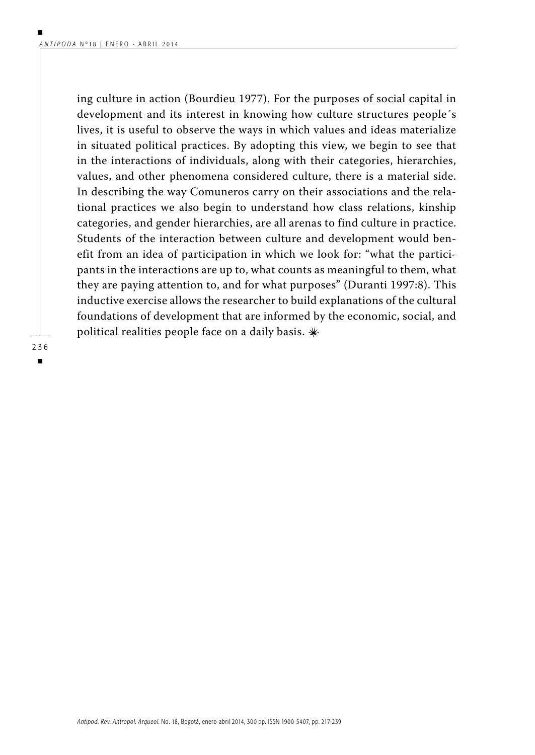ing culture in action (Bourdieu 1977). For the purposes of social capital in development and its interest in knowing how culture structures people´s lives, it is useful to observe the ways in which values and ideas materialize in situated political practices. By adopting this view, we begin to see that in the interactions of individuals, along with their categories, hierarchies, values, and other phenomena considered culture, there is a material side. In describing the way Comuneros carry on their associations and the relational practices we also begin to understand how class relations, kinship categories, and gender hierarchies, are all arenas to find culture in practice. Students of the interaction between culture and development would benefit from an idea of participation in which we look for: "what the participants in the interactions are up to, what counts as meaningful to them, what they are paying attention to, and for what purposes" (Duranti 1997:8). This inductive exercise allows the researcher to build explanations of the cultural foundations of development that are informed by the economic, social, and political realities people face on a daily basis. **.**

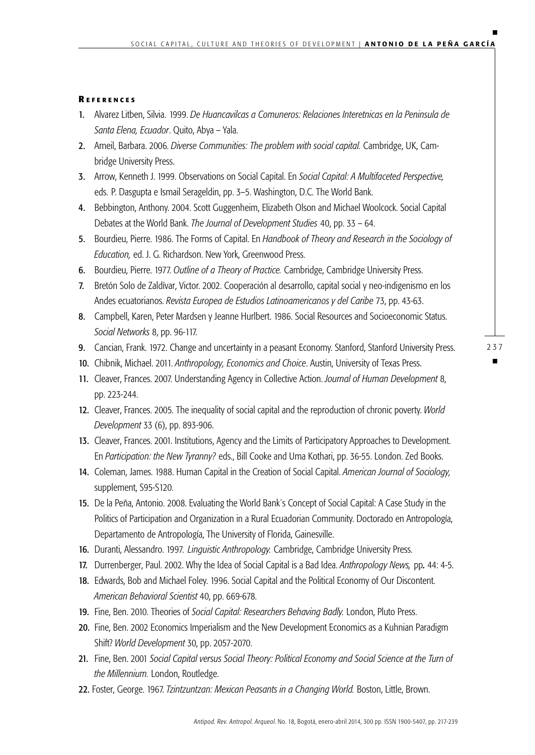#### **R e f e <sup>r</sup> e n c e s**

- 1. Alvarez Litben, Silvia. 1999. *De Huancavilcas a Comuneros: Relaciones Interetnicas en la Peninsula de Santa Elena, Ecuador*. Quito, Abya – Yala.
- 2. Arneil, Barbara. 2006. *Diverse Communities: The problem with social capital.* Cambridge, UK, Cambridge University Press.
- 3. Arrow, Kenneth J. 1999. Observations on Social Capital. En *Social Capital: A Multifaceted Perspective,*  eds. P. Dasgupta e Ismail Serageldin, pp. 3–5. Washington, D.C. The World Bank.
- 4. Bebbington, Anthony. 2004. Scott Guggenheim, Elizabeth Olson and Michael Woolcock. Social Capital Debates at the World Bank. *The Journal of Development Studies* 40, pp. 33 – 64.
- 5. Bourdieu, Pierre. 1986. The Forms of Capital. En *Handbook of Theory and Research in the Sociology of Education,* ed. J. G. Richardson. New York, Greenwood Press.
- 6. Bourdieu, Pierre. 1977. *Outline of a Theory of Practice.* Cambridge, Cambridge University Press.
- 7. Bretón Solo de Zaldívar, Victor. 2002. Cooperación al desarrollo, capital social y neo-indigenismo en los Andes ecuatorianos. *Revista Europea de Estudios Latinoamericanos y del Caribe* 73, pp. 43-63.
- 8. Campbell, Karen, Peter Mardsen y Jeanne Hurlbert. 1986. Social Resources and Socioeconomic Status. *Social Networks* 8, pp. 96-117.
- 9. Cancian, Frank. 1972. Change and uncertainty in a peasant Economy. Stanford, Stanford University Press.
- 10. Chibnik, Michael. 2011. Anthropology, Economics and Choice. Austin, University of Texas Press.
- 11. Cleaver, Frances. 2007. Understanding Agency in Collective Action. *Journal of Human Development* 8, pp. 223-244.
- 12. Cleaver, Frances. 2005. The inequality of social capital and the reproduction of chronic poverty. *World Development* 33 (6), pp. 893-906.
- 13. Cleaver, Frances. 2001. Institutions, Agency and the Limits of Participatory Approaches to Development. En *Participation: the New Tyranny?* eds., Bill Cooke and Uma Kothari, pp. 36-55. London. Zed Books.
- 14. Coleman, James. 1988. Human Capital in the Creation of Social Capital. *American Journal of Sociology,*  supplement, S95-S120.
- 15. De la Peña, Antonio. 2008. Evaluating the World Bank's Concept of Social Capital: A Case Study in the Politics of Participation and Organization in a Rural Ecuadorian Community. Doctorado en Antropología, Departamento de Antropología, The University of Florida, Gainesville.
- 16. Duranti, Alessandro. 1997*. Linguistic Anthropology.* Cambridge, Cambridge University Press.
- 17. Durrenberger, Paul. 2002. Why the Idea of Social Capital is a Bad Idea. Anthropology News, pp. 44: 4-5.
- 18. Edwards, Bob and Michael Foley. 1996. Social Capital and the Political Economy of Our Discontent. *American Behavioral Scientist* 40, pp. 669-678.
- 19. Fine, Ben. 2010. Theories of *Social Capital: Researchers Behaving Badly.* London, Pluto Press.
- 20. Fine, Ben. 2002 Economics Imperialism and the New Development Economics as a Kuhnian Paradigm Shift? *World Development* 30, pp. 2057-2070.
- 21. Fine, Ben. 2001 Social Capital versus Social Theory: Political Economy and Social Science at the Turn of *the Millennium.* London, Routledge.
- 22. Foster, George. 1967. *Tzintzuntzan: Mexican Peasants in a Changing World.* Boston, Little, Brown.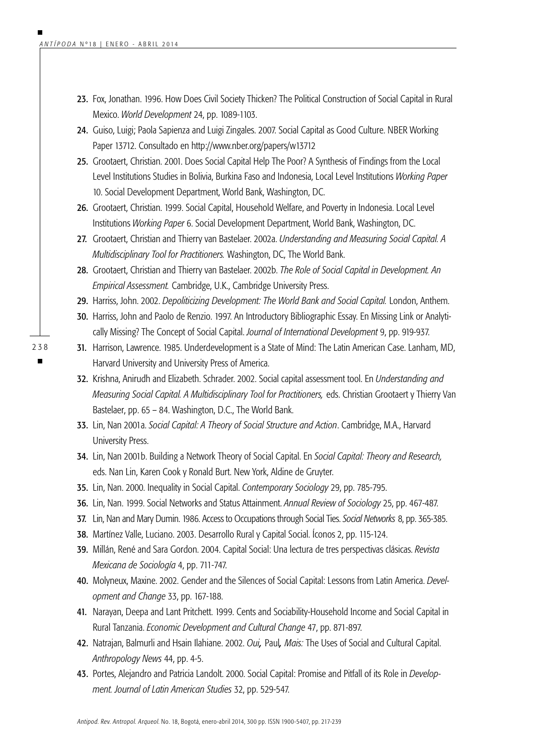- 23. Fox, Jonathan. 1996. How Does Civil Society Thicken? The Political Construction of Social Capital in Rural Mexico. *World Development* 24, pp. 1089-1103.
- 24. Guiso, Luigi; Paola Sapienza and Luigi Zingales. 2007. Social Capital as Good Culture. NBER Working Paper 13712. Consultado en http://www.nber.org/papers/w13712
- 25. Grootaert, Christian. 2001. Does Social Capital Help The Poor? A Synthesis of Findings from the Local Level Institutions Studies in Bolivia, Burkina Faso and Indonesia, Local Level Institutions *Working Paper* 10. Social Development Department, World Bank, Washington, DC.
- 26. Grootaert, Christian. 1999. Social Capital, Household Welfare, and Poverty in Indonesia. Local Level Institutions *Working Paper* 6. Social Development Department, World Bank, Washington, DC.
- 27. Grootaert, Christian and Thierry van Bastelaer. 2002a. Understanding and Measuring Social Capital. A *Multidisciplinary Tool for Practitioners.* Washington, DC, The World Bank.
- 28. Grootaert, Christian and Thierry van Bastelaer. 2002b. *The Role of Social Capital in Development. An Empirical Assessment.* Cambridge, U.K., Cambridge University Press.
- 29. Harriss, John. 2002. *Depoliticizing Development: The World Bank and Social Capital.* London, Anthem.
- 30. Harriss, John and Paolo de Renzio. 1997. An Introductory Bibliographic Essay. En Missing Link or Analytically Missing? The Concept of Social Capital. *Journal of International Development* 9, pp. 919-937.
- 31. Harrison, Lawrence. 1985. Underdevelopment is a State of Mind: The Latin American Case. Lanham, MD, Harvard University and University Press of America.
- 32. Krishna, Anirudh and Elizabeth. Schrader. 2002. Social capital assessment tool. En *Understanding and Measuring Social Capital. A Multidisciplinary Tool for Practitioners,* eds. Christian Grootaert y Thierry Van Bastelaer, pp. 65 – 84. Washington, D.C., The World Bank.
- 33. Lin, Nan 2001a. Social Capital: A Theory of Social Structure and Action. Cambridge, M.A., Harvard University Press.
- 34. Lin, Nan 2001b. Building a Network Theory of Social Capital. En *Social Capital: Theory and Research,* eds. Nan Lin, Karen Cook y Ronald Burt. New York, Aldine de Gruyter.
- 35. Lin, Nan. 2000. Inequality in Social Capital. *Contemporary Sociology* 29, pp. 785-795.
- 36. Lin, Nan. 1999. Social Networks and Status Attainment. *Annual Review of Sociology* 25, pp. 467-487.
- 37. Lin, Nan and Mary Dumin. 1986. Access to Occupations through Social Ties. Social Networks 8, pp. 365-385.
- 38. Martínez Valle, Luciano. 2003. Desarrollo Rural y Capital Social. Íconos 2, pp. 115-124.
- 39. Millán, René and Sara Gordon. 2004. Capital Social: Una lectura de tres perspectivas clásicas. *Revista Mexicana de Sociología* 4, pp. 711-747.
- 40. Molyneux, Maxine. 2002. Gender and the Silences of Social Capital: Lessons from Latin America. *Development and Change* 33, pp. 167-188.
- 41. Narayan, Deepa and Lant Pritchett. 1999. Cents and Sociability-Household Income and Social Capital in Rural Tanzania. *Economic Development and Cultural Change* 47, pp. 871-897.
- 42. Natrajan, Balmurli and Hsain Ilahiane. 2002. *Oui,* Paul*, Mais:* The Uses of Social and Cultural Capital. *Anthropology News* 44, pp. 4-5.
- 43. Portes, Alejandro and Patricia Landolt. 2000. Social Capital: Promise and Pitfall of its Role in *Development. Journal of Latin American Studies* 32, pp. 529-547.

238